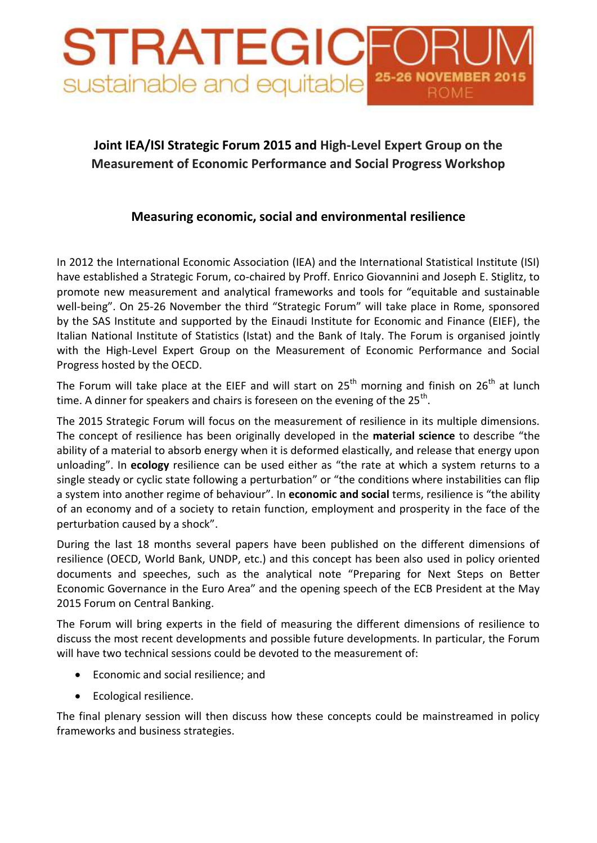## STRATEGIC sustainable and equitable

## **Joint IEA/ISI Strategic Forum 2015 and High-Level Expert Group on the Measurement of Economic Performance and Social Progress Workshop**

## **Measuring economic, social and environmental resilience**

In 2012 the International Economic Association (IEA) and the International Statistical Institute (ISI) have established a Strategic Forum, co-chaired by Proff. Enrico Giovannini and Joseph E. Stiglitz, to promote new measurement and analytical frameworks and tools for "equitable and sustainable well-being". On 25-26 November the third "Strategic Forum" will take place in Rome, sponsored by the SAS Institute and supported by the Einaudi Institute for Economic and Finance (EIEF), the Italian National Institute of Statistics (Istat) and the Bank of Italy. The Forum is organised jointly with the High-Level Expert Group on the Measurement of Economic Performance and Social Progress hosted by the OECD.

The Forum will take place at the EIEF and will start on  $25<sup>th</sup>$  morning and finish on  $26<sup>th</sup>$  at lunch time. A dinner for speakers and chairs is foreseen on the evening of the  $25^{th}$ .

The 2015 Strategic Forum will focus on the measurement of resilience in its multiple dimensions. The concept of resilience has been originally developed in the **material science** to describe "the ability of a material to absorb energy when it is deformed elastically, and release that energy upon unloading". In **ecology** resilience can be used either as "the rate at which a system returns to a single steady or cyclic state following a perturbation" or "the conditions where instabilities can flip a system into another regime of behaviour". In **economic and social** terms, resilience is "the ability of an economy and of a society to retain function, employment and prosperity in the face of the perturbation caused by a shock".

During the last 18 months several papers have been published on the different dimensions of resilience (OECD, World Bank, UNDP, etc.) and this concept has been also used in policy oriented documents and speeches, such as the analytical note "Preparing for Next Steps on Better Economic Governance in the Euro Area" and the opening speech of the ECB President at the May 2015 Forum on Central Banking.

The Forum will bring experts in the field of measuring the different dimensions of resilience to discuss the most recent developments and possible future developments. In particular, the Forum will have two technical sessions could be devoted to the measurement of:

- Economic and social resilience; and
- Ecological resilience.

The final plenary session will then discuss how these concepts could be mainstreamed in policy frameworks and business strategies.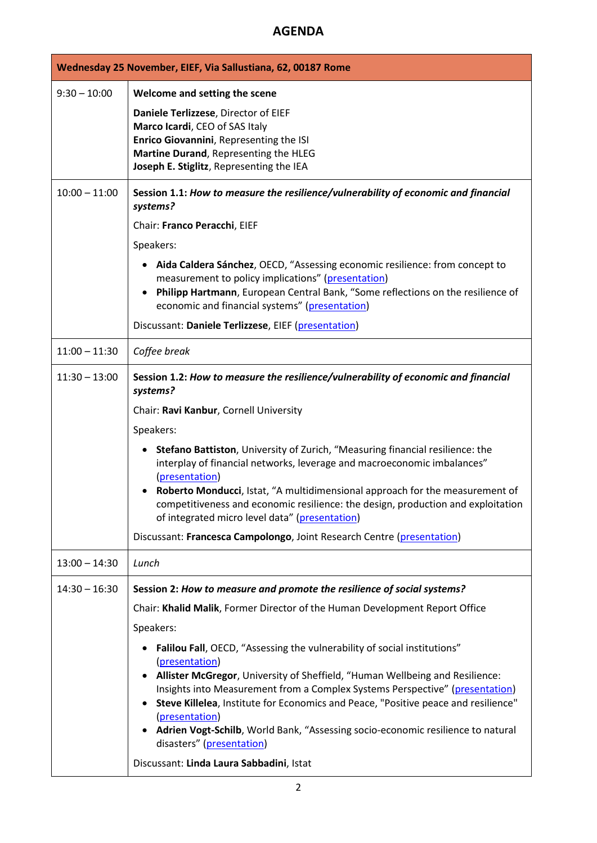## **AGENDA**

| Wednesday 25 November, EIEF, Via Sallustiana, 62, 00187 Rome |                                                                                                                                                                                                                                                                                                                                                                                                                                                                                                                                                                                                                                                                                                            |  |
|--------------------------------------------------------------|------------------------------------------------------------------------------------------------------------------------------------------------------------------------------------------------------------------------------------------------------------------------------------------------------------------------------------------------------------------------------------------------------------------------------------------------------------------------------------------------------------------------------------------------------------------------------------------------------------------------------------------------------------------------------------------------------------|--|
| $9:30 - 10:00$                                               | Welcome and setting the scene<br>Daniele Terlizzese, Director of EIEF<br>Marco Icardi, CEO of SAS Italy<br>Enrico Giovannini, Representing the ISI<br>Martine Durand, Representing the HLEG<br>Joseph E. Stiglitz, Representing the IEA                                                                                                                                                                                                                                                                                                                                                                                                                                                                    |  |
| $10:00 - 11:00$                                              | Session 1.1: How to measure the resilience/vulnerability of economic and financial<br>systems?<br>Chair: Franco Peracchi, EIEF<br>Speakers:<br>Aida Caldera Sánchez, OECD, "Assessing economic resilience: from concept to<br>measurement to policy implications" (presentation)<br>Philipp Hartmann, European Central Bank, "Some reflections on the resilience of<br>economic and financial systems" (presentation)<br>Discussant: Daniele Terlizzese, EIEF (presentation)                                                                                                                                                                                                                               |  |
| $11:00 - 11:30$                                              | Coffee break                                                                                                                                                                                                                                                                                                                                                                                                                                                                                                                                                                                                                                                                                               |  |
| $11:30 - 13:00$                                              | Session 1.2: How to measure the resilience/vulnerability of economic and financial<br>systems?<br>Chair: Ravi Kanbur, Cornell University<br>Speakers:<br>Stefano Battiston, University of Zurich, "Measuring financial resilience: the<br>interplay of financial networks, leverage and macroeconomic imbalances"<br>(presentation)<br>Roberto Monducci, Istat, "A multidimensional approach for the measurement of<br>competitiveness and economic resilience: the design, production and exploitation<br>of integrated micro level data" (presentation)                                                                                                                                                  |  |
|                                                              | Discussant: Francesca Campolongo, Joint Research Centre (presentation)                                                                                                                                                                                                                                                                                                                                                                                                                                                                                                                                                                                                                                     |  |
| $13:00 - 14:30$                                              | Lunch                                                                                                                                                                                                                                                                                                                                                                                                                                                                                                                                                                                                                                                                                                      |  |
| $14:30 - 16:30$                                              | Session 2: How to measure and promote the resilience of social systems?<br>Chair: Khalid Malik, Former Director of the Human Development Report Office<br>Speakers:<br>Falilou Fall, OECD, "Assessing the vulnerability of social institutions"<br>٠<br>(presentation)<br>Allister McGregor, University of Sheffield, "Human Wellbeing and Resilience:<br>Insights into Measurement from a Complex Systems Perspective" (presentation)<br>Steve Killelea, Institute for Economics and Peace, "Positive peace and resilience"<br>(presentation)<br>Adrien Vogt-Schilb, World Bank, "Assessing socio-economic resilience to natural<br>disasters" (presentation)<br>Discussant: Linda Laura Sabbadini, Istat |  |